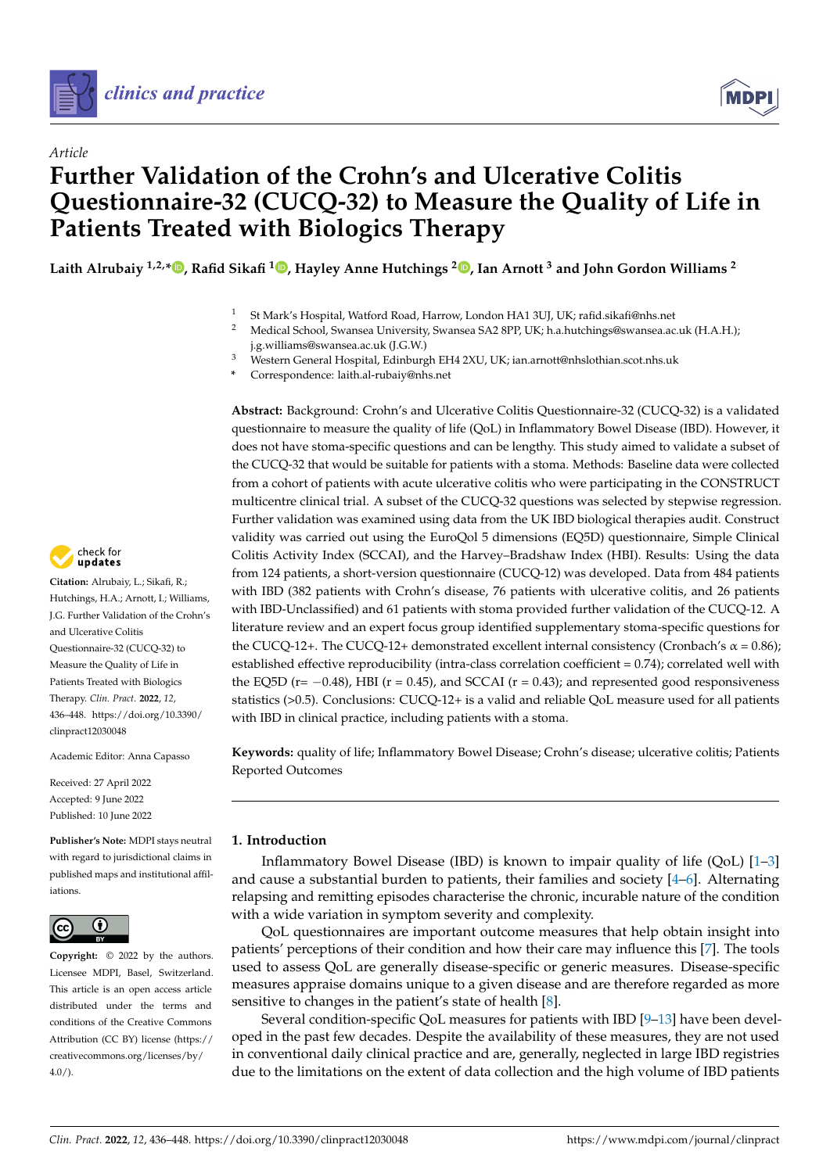

*Article*



# **Further Validation of the Crohn's and Ulcerative Colitis Questionnaire-32 (CUCQ-32) to Measure the Quality of Life in Patients Treated with Biologics Therapy**

**Laith Alrubaiy 1,2,[\\*](https://orcid.org/0000-0002-6340-8244) , Rafid Sikafi <sup>1</sup> [,](https://orcid.org/0000-0002-4701-6953) Hayley Anne Hutchings [2](https://orcid.org/0000-0003-4155-1741) , Ian Arnott <sup>3</sup> and John Gordon Williams <sup>2</sup>**

- <sup>1</sup> St Mark's Hospital, Watford Road, Harrow, London HA1 3UJ, UK; rafid.sikafi@nhs.net
- <sup>2</sup> Medical School, Swansea University, Swansea SA2 8PP, UK; h.a.hutchings@swansea.ac.uk (H.A.H.); j.g.williams@swansea.ac.uk (J.G.W.)
- <sup>3</sup> Western General Hospital, Edinburgh EH4 2XU, UK; ian.arnott@nhslothian.scot.nhs.uk
- **\*** Correspondence: laith.al-rubaiy@nhs.net

**Abstract:** Background: Crohn's and Ulcerative Colitis Questionnaire-32 (CUCQ-32) is a validated questionnaire to measure the quality of life (QoL) in Inflammatory Bowel Disease (IBD). However, it does not have stoma-specific questions and can be lengthy. This study aimed to validate a subset of the CUCQ-32 that would be suitable for patients with a stoma. Methods: Baseline data were collected from a cohort of patients with acute ulcerative colitis who were participating in the CONSTRUCT multicentre clinical trial. A subset of the CUCQ-32 questions was selected by stepwise regression. Further validation was examined using data from the UK IBD biological therapies audit. Construct validity was carried out using the EuroQol 5 dimensions (EQ5D) questionnaire, Simple Clinical Colitis Activity Index (SCCAI), and the Harvey–Bradshaw Index (HBI). Results: Using the data from 124 patients, a short-version questionnaire (CUCQ-12) was developed. Data from 484 patients with IBD (382 patients with Crohn's disease, 76 patients with ulcerative colitis, and 26 patients with IBD-Unclassified) and 61 patients with stoma provided further validation of the CUCQ-12. A literature review and an expert focus group identified supplementary stoma-specific questions for the CUCQ-12+. The CUCQ-12+ demonstrated excellent internal consistency (Cronbach's  $\alpha$  = 0.86); established effective reproducibility (intra-class correlation coefficient = 0.74); correlated well with the EQ5D ( $r = -0.48$ ), HBI ( $r = 0.45$ ), and SCCAI ( $r = 0.43$ ); and represented good responsiveness statistics (>0.5). Conclusions: CUCQ-12+ is a valid and reliable QoL measure used for all patients with IBD in clinical practice, including patients with a stoma.

**Keywords:** quality of life; Inflammatory Bowel Disease; Crohn's disease; ulcerative colitis; Patients Reported Outcomes

## **1. Introduction**

Inflammatory Bowel Disease (IBD) is known to impair quality of life (QoL) [\[1–](#page-10-0)[3\]](#page-10-1) and cause a substantial burden to patients, their families and society [\[4](#page-10-2)[–6\]](#page-10-3). Alternating relapsing and remitting episodes characterise the chronic, incurable nature of the condition with a wide variation in symptom severity and complexity.

QoL questionnaires are important outcome measures that help obtain insight into patients' perceptions of their condition and how their care may influence this [\[7\]](#page-10-4). The tools used to assess QoL are generally disease-specific or generic measures. Disease-specific measures appraise domains unique to a given disease and are therefore regarded as more sensitive to changes in the patient's state of health [\[8\]](#page-10-5).

Several condition-specific QoL measures for patients with IBD [\[9](#page-10-6)[–13\]](#page-11-0) have been developed in the past few decades. Despite the availability of these measures, they are not used in conventional daily clinical practice and are, generally, neglected in large IBD registries due to the limitations on the extent of data collection and the high volume of IBD patients



**Citation:** Alrubaiy, L.; Sikafi, R.; Hutchings, H.A.; Arnott, I.; Williams, J.G. Further Validation of the Crohn's and Ulcerative Colitis Questionnaire-32 (CUCQ-32) to Measure the Quality of Life in Patients Treated with Biologics Therapy. *Clin. Pract.* **2022**, *12*, 436–448. [https://doi.org/10.3390/](https://doi.org/10.3390/clinpract12030048) [clinpract12030048](https://doi.org/10.3390/clinpract12030048)

Academic Editor: Anna Capasso

Received: 27 April 2022 Accepted: 9 June 2022 Published: 10 June 2022

**Publisher's Note:** MDPI stays neutral with regard to jurisdictional claims in published maps and institutional affiliations.



**Copyright:** © 2022 by the authors. Licensee MDPI, Basel, Switzerland. This article is an open access article distributed under the terms and conditions of the Creative Commons Attribution (CC BY) license [\(https://](https://creativecommons.org/licenses/by/4.0/) [creativecommons.org/licenses/by/](https://creativecommons.org/licenses/by/4.0/)  $4.0/$ ).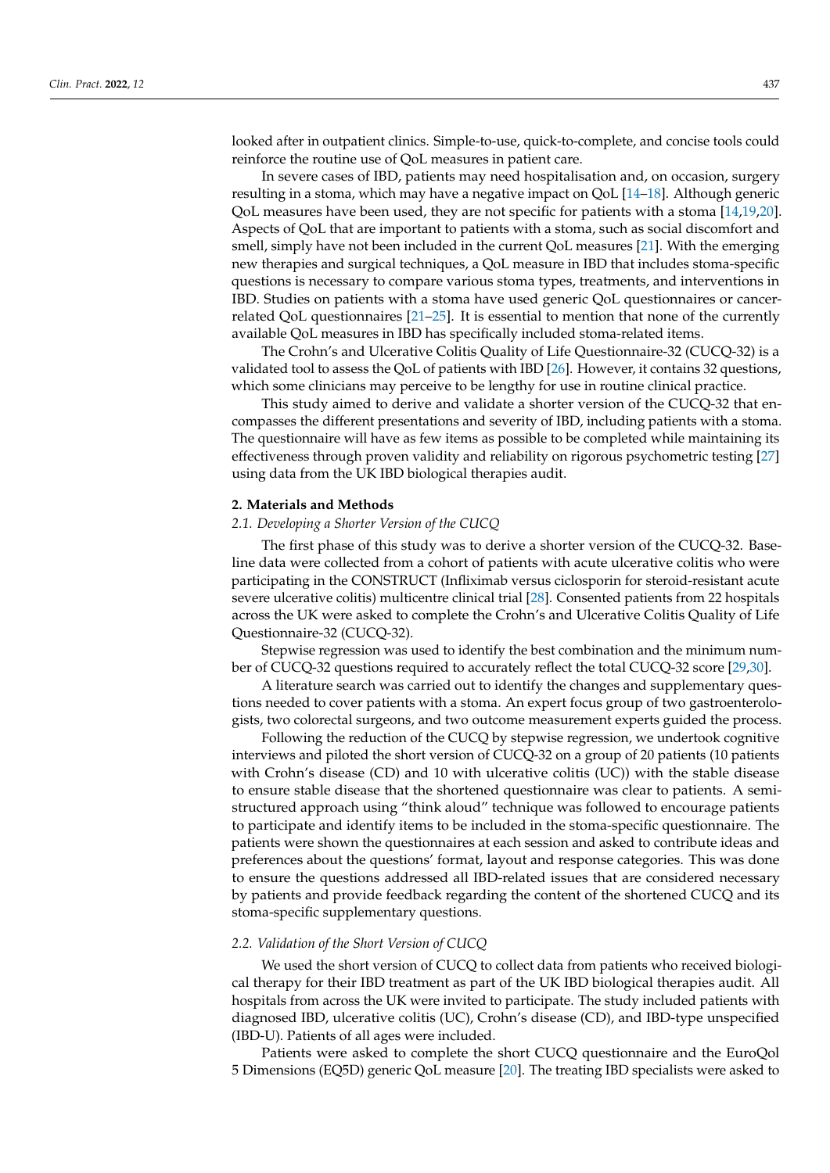looked after in outpatient clinics. Simple-to-use, quick-to-complete, and concise tools could reinforce the routine use of QoL measures in patient care.

In severe cases of IBD, patients may need hospitalisation and, on occasion, surgery resulting in a stoma, which may have a negative impact on QoL [\[14](#page-11-1)[–18\]](#page-11-2). Although generic QoL measures have been used, they are not specific for patients with a stoma [\[14,](#page-11-1)[19,](#page-11-3)[20\]](#page-11-4). Aspects of QoL that are important to patients with a stoma, such as social discomfort and smell, simply have not been included in the current QoL measures [\[21\]](#page-11-5). With the emerging new therapies and surgical techniques, a QoL measure in IBD that includes stoma-specific questions is necessary to compare various stoma types, treatments, and interventions in IBD. Studies on patients with a stoma have used generic QoL questionnaires or cancerrelated QoL questionnaires [\[21](#page-11-5)[–25\]](#page-11-6). It is essential to mention that none of the currently available QoL measures in IBD has specifically included stoma-related items.

The Crohn's and Ulcerative Colitis Quality of Life Questionnaire-32 (CUCQ-32) is a validated tool to assess the QoL of patients with IBD [\[26\]](#page-11-7). However, it contains 32 questions, which some clinicians may perceive to be lengthy for use in routine clinical practice.

This study aimed to derive and validate a shorter version of the CUCQ-32 that encompasses the different presentations and severity of IBD, including patients with a stoma. The questionnaire will have as few items as possible to be completed while maintaining its effectiveness through proven validity and reliability on rigorous psychometric testing [\[27\]](#page-11-8) using data from the UK IBD biological therapies audit.

## **2. Materials and Methods**

## *2.1. Developing a Shorter Version of the CUCQ*

The first phase of this study was to derive a shorter version of the CUCQ-32. Baseline data were collected from a cohort of patients with acute ulcerative colitis who were participating in the CONSTRUCT (Infliximab versus ciclosporin for steroid-resistant acute severe ulcerative colitis) multicentre clinical trial [\[28\]](#page-11-9). Consented patients from 22 hospitals across the UK were asked to complete the Crohn's and Ulcerative Colitis Quality of Life Questionnaire-32 (CUCQ-32).

Stepwise regression was used to identify the best combination and the minimum number of CUCQ-32 questions required to accurately reflect the total CUCQ-32 score [\[29,](#page-11-10)[30\]](#page-11-11).

A literature search was carried out to identify the changes and supplementary questions needed to cover patients with a stoma. An expert focus group of two gastroenterologists, two colorectal surgeons, and two outcome measurement experts guided the process.

Following the reduction of the CUCQ by stepwise regression, we undertook cognitive interviews and piloted the short version of CUCQ-32 on a group of 20 patients (10 patients with Crohn's disease (CD) and 10 with ulcerative colitis (UC)) with the stable disease to ensure stable disease that the shortened questionnaire was clear to patients. A semistructured approach using "think aloud" technique was followed to encourage patients to participate and identify items to be included in the stoma-specific questionnaire. The patients were shown the questionnaires at each session and asked to contribute ideas and preferences about the questions' format, layout and response categories. This was done to ensure the questions addressed all IBD-related issues that are considered necessary by patients and provide feedback regarding the content of the shortened CUCQ and its stoma-specific supplementary questions.

## *2.2. Validation of the Short Version of CUCQ*

We used the short version of CUCQ to collect data from patients who received biological therapy for their IBD treatment as part of the UK IBD biological therapies audit. All hospitals from across the UK were invited to participate. The study included patients with diagnosed IBD, ulcerative colitis (UC), Crohn's disease (CD), and IBD-type unspecified (IBD-U). Patients of all ages were included.

Patients were asked to complete the short CUCQ questionnaire and the EuroQol 5 Dimensions (EQ5D) generic QoL measure [\[20\]](#page-11-4). The treating IBD specialists were asked to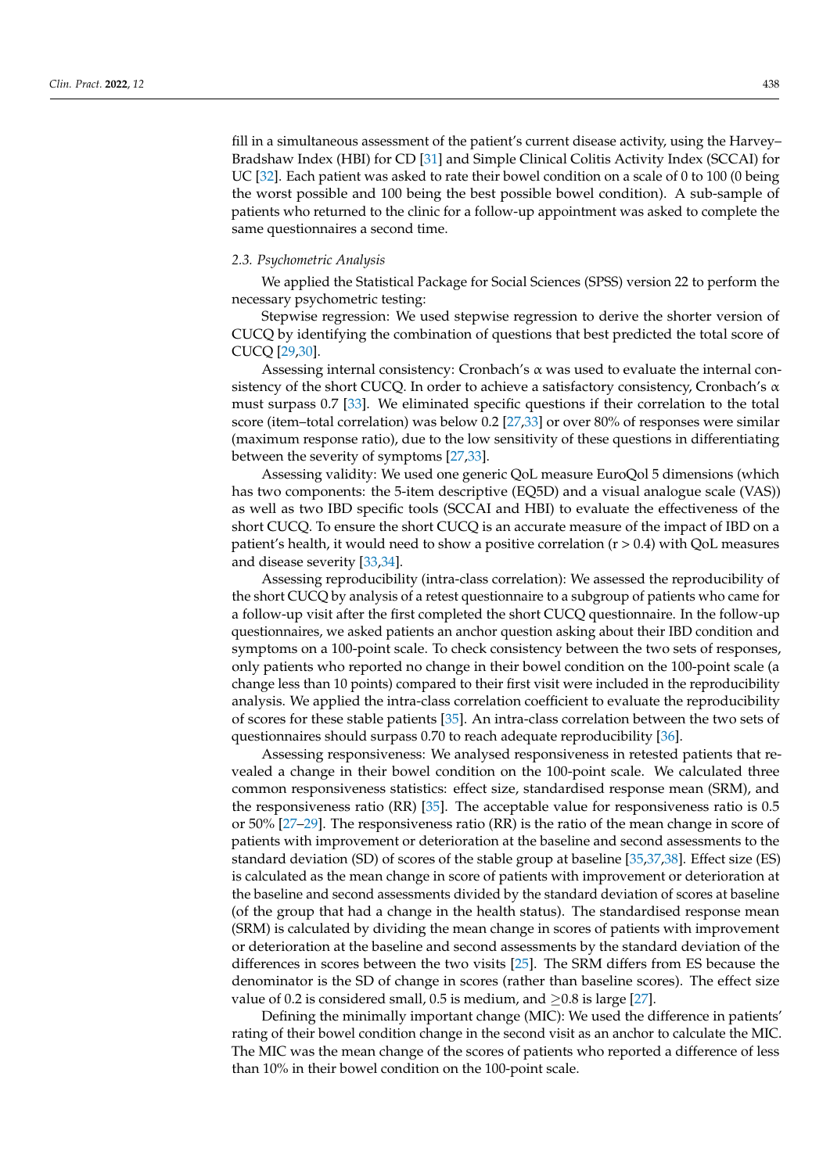fill in a simultaneous assessment of the patient's current disease activity, using the Harvey– Bradshaw Index (HBI) for CD [\[31\]](#page-11-12) and Simple Clinical Colitis Activity Index (SCCAI) for UC [\[32\]](#page-11-13). Each patient was asked to rate their bowel condition on a scale of 0 to 100 (0 being the worst possible and 100 being the best possible bowel condition). A sub-sample of patients who returned to the clinic for a follow-up appointment was asked to complete the same questionnaires a second time.

## *2.3. Psychometric Analysis*

We applied the Statistical Package for Social Sciences (SPSS) version 22 to perform the necessary psychometric testing:

Stepwise regression: We used stepwise regression to derive the shorter version of CUCQ by identifying the combination of questions that best predicted the total score of CUCQ [\[29](#page-11-10)[,30\]](#page-11-11).

Assessing internal consistency: Cronbach's α was used to evaluate the internal consistency of the short CUCQ. In order to achieve a satisfactory consistency, Cronbach's  $\alpha$ must surpass 0.7 [\[33\]](#page-11-14). We eliminated specific questions if their correlation to the total score (item–total correlation) was below 0.2 [\[27](#page-11-8)[,33\]](#page-11-14) or over 80% of responses were similar (maximum response ratio), due to the low sensitivity of these questions in differentiating between the severity of symptoms [\[27,](#page-11-8)[33\]](#page-11-14).

Assessing validity: We used one generic QoL measure EuroQol 5 dimensions (which has two components: the 5-item descriptive (EQ5D) and a visual analogue scale (VAS)) as well as two IBD specific tools (SCCAI and HBI) to evaluate the effectiveness of the short CUCQ. To ensure the short CUCQ is an accurate measure of the impact of IBD on a patient's health, it would need to show a positive correlation (r > 0.4) with QoL measures and disease severity [\[33](#page-11-14)[,34\]](#page-11-15).

Assessing reproducibility (intra-class correlation): We assessed the reproducibility of the short CUCQ by analysis of a retest questionnaire to a subgroup of patients who came for a follow-up visit after the first completed the short CUCQ questionnaire. In the follow-up questionnaires, we asked patients an anchor question asking about their IBD condition and symptoms on a 100-point scale. To check consistency between the two sets of responses, only patients who reported no change in their bowel condition on the 100-point scale (a change less than 10 points) compared to their first visit were included in the reproducibility analysis. We applied the intra-class correlation coefficient to evaluate the reproducibility of scores for these stable patients [\[35\]](#page-11-16). An intra-class correlation between the two sets of questionnaires should surpass 0.70 to reach adequate reproducibility [\[36\]](#page-11-17).

Assessing responsiveness: We analysed responsiveness in retested patients that revealed a change in their bowel condition on the 100-point scale. We calculated three common responsiveness statistics: effect size, standardised response mean (SRM), and the responsiveness ratio (RR) [\[35\]](#page-11-16). The acceptable value for responsiveness ratio is 0.5 or 50% [\[27](#page-11-8)[–29\]](#page-11-10). The responsiveness ratio (RR) is the ratio of the mean change in score of patients with improvement or deterioration at the baseline and second assessments to the standard deviation (SD) of scores of the stable group at baseline [\[35](#page-11-16)[,37,](#page-11-18)[38\]](#page-11-19). Effect size (ES) is calculated as the mean change in score of patients with improvement or deterioration at the baseline and second assessments divided by the standard deviation of scores at baseline (of the group that had a change in the health status). The standardised response mean (SRM) is calculated by dividing the mean change in scores of patients with improvement or deterioration at the baseline and second assessments by the standard deviation of the differences in scores between the two visits [\[25\]](#page-11-6). The SRM differs from ES because the denominator is the SD of change in scores (rather than baseline scores). The effect size value of 0.2 is considered small, 0.5 is medium, and  $\geq$ 0.8 is large [\[27\]](#page-11-8).

Defining the minimally important change (MIC): We used the difference in patients' rating of their bowel condition change in the second visit as an anchor to calculate the MIC. The MIC was the mean change of the scores of patients who reported a difference of less than 10% in their bowel condition on the 100-point scale.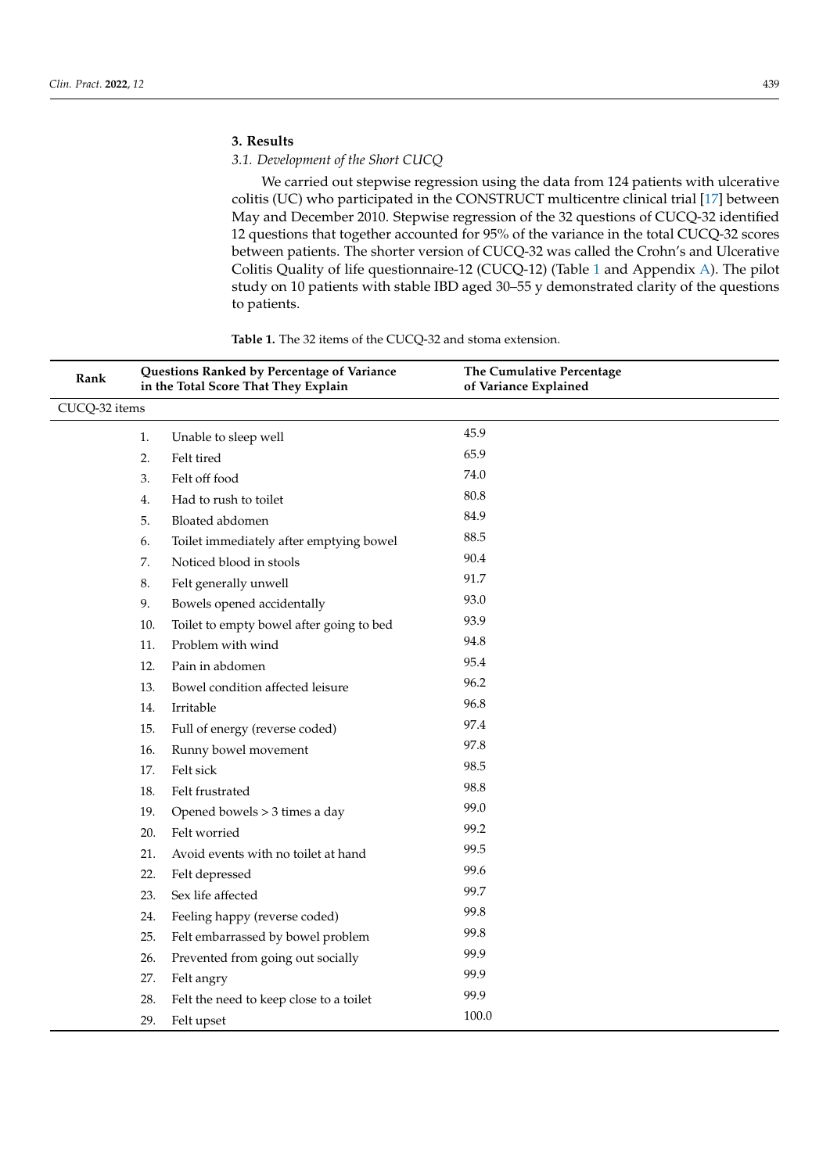## **3. Results**

## *3.1. Development of the Short CUCQ*

We carried out stepwise regression using the data from 124 patients with ulcerative colitis (UC) who participated in the CONSTRUCT multicentre clinical trial [\[17\]](#page-11-20) between May and December 2010. Stepwise regression of the 32 questions of CUCQ-32 identified 12 questions that together accounted for 95% of the variance in the total CUCQ-32 scores between patients. The shorter version of CUCQ-32 was called the Crohn's and Ulcerative Colitis Quality of life questionnaire-12 (CUCQ-12) (Table [1](#page-4-0) and Appendix [A\)](#page-9-0). The pilot study on 10 patients with stable IBD aged 30–55 y demonstrated clarity of the questions to patients.

| Rank          | Questions Ranked by Percentage of Variance<br>in the Total Score That They Explain |                                          | The Cumulative Percentage<br>of Variance Explained |  |
|---------------|------------------------------------------------------------------------------------|------------------------------------------|----------------------------------------------------|--|
| CUCQ-32 items |                                                                                    |                                          |                                                    |  |
|               | 1.                                                                                 | Unable to sleep well                     | 45.9                                               |  |
|               | 2.                                                                                 | Felt tired                               | 65.9                                               |  |
|               | 3.                                                                                 | Felt off food                            | 74.0                                               |  |
|               | 4.                                                                                 | Had to rush to toilet                    | 80.8                                               |  |
|               | 5.                                                                                 | Bloated abdomen                          | 84.9                                               |  |
|               | 6.                                                                                 | Toilet immediately after emptying bowel  | 88.5                                               |  |
|               | 7.                                                                                 | Noticed blood in stools                  | 90.4                                               |  |
|               | 8.                                                                                 | Felt generally unwell                    | 91.7                                               |  |
|               | 9.                                                                                 | Bowels opened accidentally               | 93.0                                               |  |
|               | 10.                                                                                | Toilet to empty bowel after going to bed | 93.9                                               |  |
|               | 11.                                                                                | Problem with wind                        | 94.8                                               |  |
|               | 12.                                                                                | Pain in abdomen                          | 95.4                                               |  |
|               | 13.                                                                                | Bowel condition affected leisure         | 96.2                                               |  |
|               | 14.                                                                                | Irritable                                | 96.8                                               |  |
|               | 15.                                                                                | Full of energy (reverse coded)           | 97.4                                               |  |
|               | 16.                                                                                | Runny bowel movement                     | 97.8                                               |  |
|               | 17.                                                                                | Felt sick                                | 98.5                                               |  |
|               | 18.                                                                                | Felt frustrated                          | 98.8                                               |  |
|               | 19.                                                                                | Opened bowels > 3 times a day            | 99.0                                               |  |
|               | 20.                                                                                | Felt worried                             | 99.2                                               |  |
|               | 21.                                                                                | Avoid events with no toilet at hand      | 99.5                                               |  |
|               | 22.                                                                                | Felt depressed                           | 99.6                                               |  |
|               | 23.                                                                                | Sex life affected                        | 99.7                                               |  |
|               | 24.                                                                                | Feeling happy (reverse coded)            | 99.8                                               |  |
|               | 25.                                                                                | Felt embarrassed by bowel problem        | 99.8                                               |  |
|               | 26.                                                                                | Prevented from going out socially        | 99.9                                               |  |
|               | 27.                                                                                | Felt angry                               | 99.9                                               |  |
|               | 28.                                                                                | Felt the need to keep close to a toilet  | 99.9                                               |  |
|               | 29.                                                                                | Felt upset                               | 100.0                                              |  |

**Table 1.** The 32 items of the CUCQ-32 and stoma extension.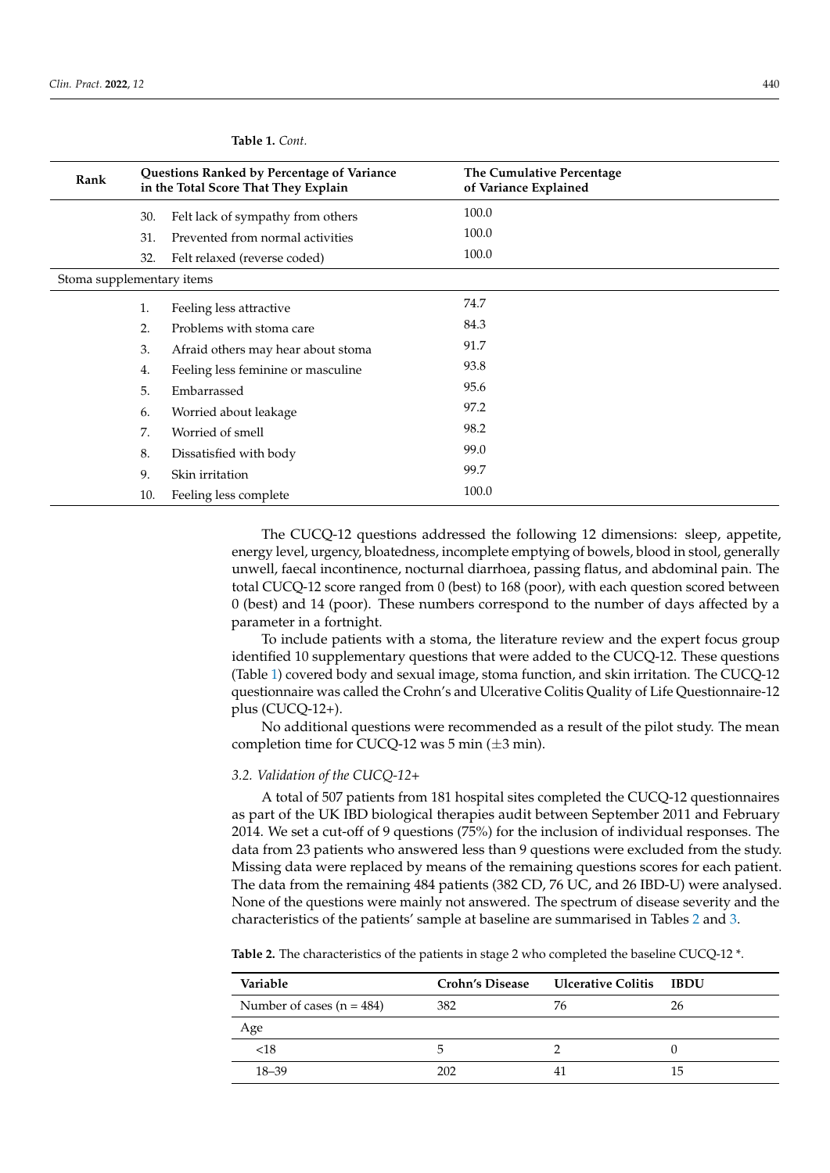| Rank                      | Questions Ranked by Percentage of Variance<br>in the Total Score That They Explain |                                    | The Cumulative Percentage<br>of Variance Explained |  |
|---------------------------|------------------------------------------------------------------------------------|------------------------------------|----------------------------------------------------|--|
|                           | 30.                                                                                | Felt lack of sympathy from others  | 100.0                                              |  |
|                           | 31.                                                                                | Prevented from normal activities   | 100.0                                              |  |
|                           | 32.                                                                                | Felt relaxed (reverse coded)       | 100.0                                              |  |
| Stoma supplementary items |                                                                                    |                                    |                                                    |  |
|                           | 1.                                                                                 | Feeling less attractive            | 74.7                                               |  |
|                           | 2.                                                                                 | Problems with stoma care           | 84.3                                               |  |
|                           | 3.                                                                                 | Afraid others may hear about stoma | 91.7                                               |  |
|                           | 4.                                                                                 | Feeling less feminine or masculine | 93.8                                               |  |
|                           | 5.                                                                                 | Embarrassed                        | 95.6                                               |  |
|                           | 6.                                                                                 | Worried about leakage              | 97.2                                               |  |
|                           | 7.                                                                                 | Worried of smell                   | 98.2                                               |  |
|                           | 8.                                                                                 | Dissatisfied with body             | 99.0                                               |  |
|                           | 9.                                                                                 | Skin irritation                    | 99.7                                               |  |
|                           | 10.                                                                                | Feeling less complete              | 100.0                                              |  |

<span id="page-4-0"></span>**Table 1.** *Cont.*

The CUCQ-12 questions addressed the following 12 dimensions: sleep, appetite, energy level, urgency, bloatedness, incomplete emptying of bowels, blood in stool, generally unwell, faecal incontinence, nocturnal diarrhoea, passing flatus, and abdominal pain. The total CUCQ-12 score ranged from 0 (best) to 168 (poor), with each question scored between 0 (best) and 14 (poor). These numbers correspond to the number of days affected by a parameter in a fortnight.

To include patients with a stoma, the literature review and the expert focus group identified 10 supplementary questions that were added to the CUCQ-12. These questions (Table [1\)](#page-4-0) covered body and sexual image, stoma function, and skin irritation. The CUCQ-12 questionnaire was called the Crohn's and Ulcerative Colitis Quality of Life Questionnaire-12 plus (CUCQ-12+).

No additional questions were recommended as a result of the pilot study. The mean completion time for CUCQ-12 was 5 min  $(\pm 3 \text{ min})$ .

## *3.2. Validation of the CUCQ-12+*

A total of 507 patients from 181 hospital sites completed the CUCQ-12 questionnaires as part of the UK IBD biological therapies audit between September 2011 and February 2014. We set a cut-off of 9 questions (75%) for the inclusion of individual responses. The data from 23 patients who answered less than 9 questions were excluded from the study. Missing data were replaced by means of the remaining questions scores for each patient. The data from the remaining 484 patients (382 CD, 76 UC, and 26 IBD-U) were analysed. None of the questions were mainly not answered. The spectrum of disease severity and the characteristics of the patients' sample at baseline are summarised in Tables [2](#page-5-0) and [3.](#page-5-1)

**Table 2.** The characteristics of the patients in stage 2 who completed the baseline CUCQ-12 \*.

| Variable                    | <b>Crohn's Disease</b> | Ulcerative Colitis IBDU |     |
|-----------------------------|------------------------|-------------------------|-----|
| Number of cases $(n = 484)$ | 382                    | 76                      | 26  |
| Age                         |                        |                         |     |
| < 18                        | ۰,                     |                         |     |
| $18 - 39$                   | 202                    |                         | ל 1 |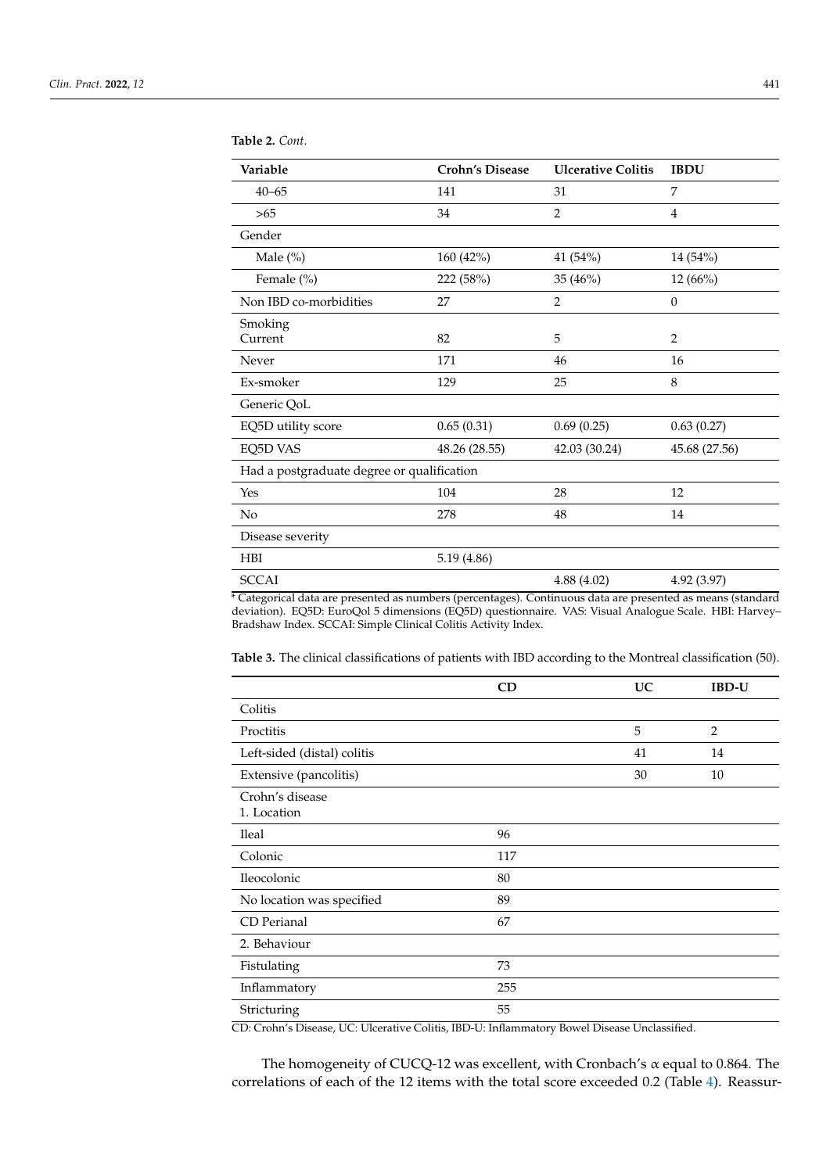| Variable                                   | <b>Crohn's Disease</b> | <b>Ulcerative Colitis</b> | <b>IBDU</b>    |  |  |
|--------------------------------------------|------------------------|---------------------------|----------------|--|--|
| $40 - 65$                                  | 141                    | 31                        | 7              |  |  |
| >65                                        | 34                     | $\overline{2}$            | $\overline{4}$ |  |  |
| Gender                                     |                        |                           |                |  |  |
| Male $(\%)$                                | 160 (42%)              | 41 (54%)                  | 14 (54%)       |  |  |
| Female (%)                                 | 222 (58%)              | 35 (46%)                  | 12(66%)        |  |  |
| Non IBD co-morbidities                     | 27                     | $\overline{2}$            | $\mathbf{0}$   |  |  |
| Smoking<br>Current                         | 82                     | 5                         | $\overline{2}$ |  |  |
| Never                                      | 171                    | 46                        | 16             |  |  |
| Ex-smoker                                  | 129                    | 25                        | 8              |  |  |
| Generic QoL                                |                        |                           |                |  |  |
| EQ5D utility score                         | 0.65(0.31)             | 0.69(0.25)                | 0.63(0.27)     |  |  |
| EQ5D VAS                                   | 48.26 (28.55)          | 42.03 (30.24)             | 45.68 (27.56)  |  |  |
| Had a postgraduate degree or qualification |                        |                           |                |  |  |
| Yes                                        | 104                    | 28                        | 12             |  |  |
| No                                         | 278                    | 48                        | 14             |  |  |
| Disease severity                           |                        |                           |                |  |  |
| <b>HBI</b>                                 | 5.19 (4.86)            |                           |                |  |  |
| <b>SCCAI</b>                               |                        | 4.88 (4.02)               | 4.92 (3.97)    |  |  |

<span id="page-5-0"></span>**Table 2.** *Cont.*

\* Categorical data are presented as numbers (percentages). Continuous data are presented as means (standard deviation). EQ5D: EuroQol 5 dimensions (EQ5D) questionnaire. VAS: Visual Analogue Scale. HBI: Harvey– Bradshaw Index. SCCAI: Simple Clinical Colitis Activity Index.

<span id="page-5-1"></span>**Table 3.** The clinical classifications of patients with IBD according to the Montreal classification (50).

|                                | CD  | <b>UC</b> | <b>IBD-U</b> |
|--------------------------------|-----|-----------|--------------|
| Colitis                        |     |           |              |
| Proctitis                      |     | 5         | 2            |
| Left-sided (distal) colitis    |     | 41        | 14           |
| Extensive (pancolitis)         |     | 30        | 10           |
| Crohn's disease<br>1. Location |     |           |              |
| <b>Ileal</b>                   | 96  |           |              |
| Colonic                        | 117 |           |              |
| Ileocolonic                    | 80  |           |              |
| No location was specified      | 89  |           |              |
| CD Perianal                    | 67  |           |              |
| 2. Behaviour                   |     |           |              |
| Fistulating                    | 73  |           |              |
| Inflammatory                   | 255 |           |              |
| Stricturing                    | 55  |           |              |

CD: Crohn's Disease, UC: Ulcerative Colitis, IBD-U: Inflammatory Bowel Disease Unclassified.

The homogeneity of CUCQ-12 was excellent, with Cronbach's  $\alpha$  equal to 0.864. The correlations of each of the 12 items with the total score exceeded 0.2 (Table [4\)](#page-6-0). Reassur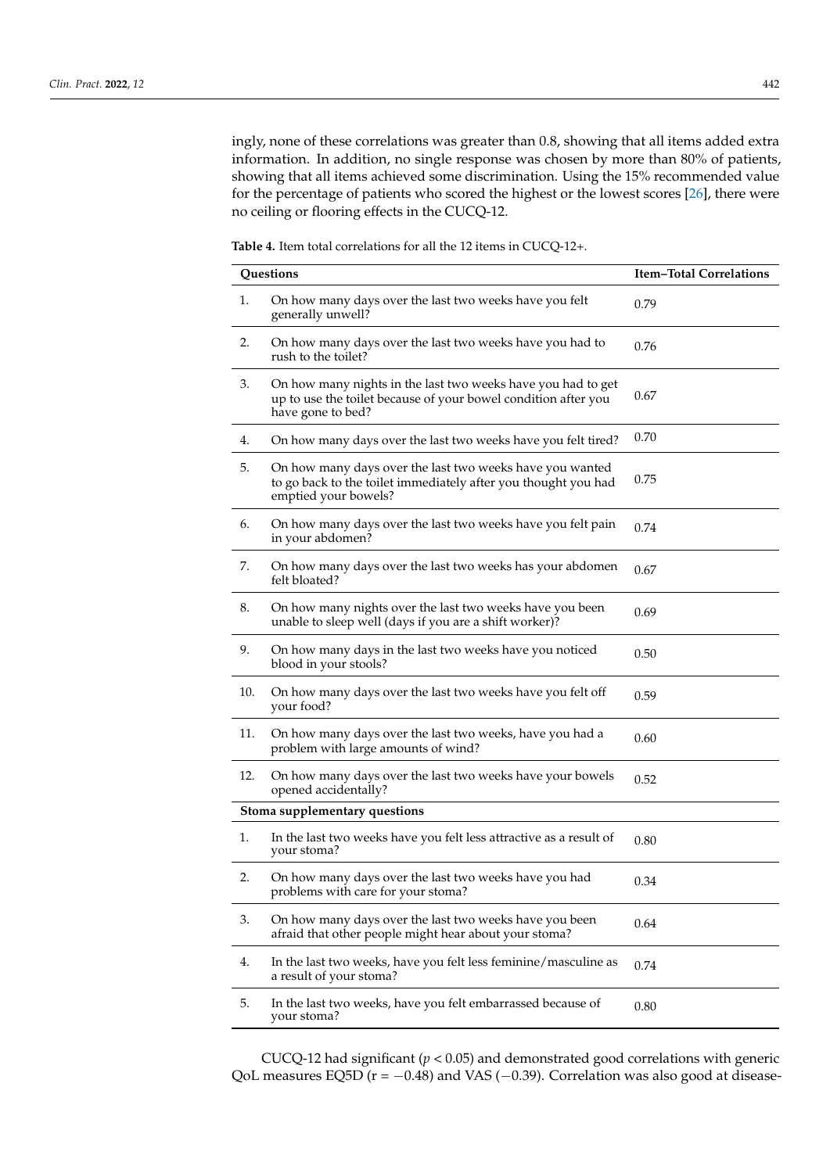ingly, none of these correlations was greater than 0.8, showing that all items added extra information. In addition, no single response was chosen by more than 80% of patients, showing that all items achieved some discrimination. Using the 15% recommended value for the percentage of patients who scored the highest or the lowest scores [\[26\]](#page-11-7), there were no ceiling or flooring effects in the CUCQ-12.

<span id="page-6-0"></span>**Table 4.** Item total correlations for all the 12 items in CUCQ-12+.

| Questions |                                                                                                                                                     | <b>Item-Total Correlations</b> |  |  |  |  |
|-----------|-----------------------------------------------------------------------------------------------------------------------------------------------------|--------------------------------|--|--|--|--|
| 1.        | On how many days over the last two weeks have you felt<br>generally unwell?                                                                         | 0.79                           |  |  |  |  |
| 2.        | On how many days over the last two weeks have you had to<br>rush to the toilet?                                                                     | 0.76                           |  |  |  |  |
| 3.        | On how many nights in the last two weeks have you had to get<br>up to use the toilet because of your bowel condition after you<br>have gone to bed? | 0.67                           |  |  |  |  |
| 4.        | On how many days over the last two weeks have you felt tired?                                                                                       | 0.70                           |  |  |  |  |
| 5.        | On how many days over the last two weeks have you wanted<br>to go back to the toilet immediately after you thought you had<br>emptied your bowels?  | 0.75                           |  |  |  |  |
| 6.        | On how many days over the last two weeks have you felt pain<br>in your abdomen?                                                                     | 0.74                           |  |  |  |  |
| 7.        | On how many days over the last two weeks has your abdomen<br>felt bloated?                                                                          | 0.67                           |  |  |  |  |
| 8.        | On how many nights over the last two weeks have you been<br>unable to sleep well (days if you are a shift worker)?                                  | 0.69                           |  |  |  |  |
| 9.        | On how many days in the last two weeks have you noticed<br>blood in your stools?                                                                    | 0.50                           |  |  |  |  |
| 10.       | On how many days over the last two weeks have you felt off<br>your food?                                                                            | 0.59                           |  |  |  |  |
| 11.       | On how many days over the last two weeks, have you had a<br>problem with large amounts of wind?                                                     | 0.60                           |  |  |  |  |
| 12.       | On how many days over the last two weeks have your bowels<br>opened accidentally?                                                                   | 0.52                           |  |  |  |  |
|           | Stoma supplementary questions                                                                                                                       |                                |  |  |  |  |
| 1.        | In the last two weeks have you felt less attractive as a result of<br>your stoma?                                                                   | 0.80                           |  |  |  |  |
| 2.        | On how many days over the last two weeks have you had<br>problems with care for your stoma?                                                         | 0.34                           |  |  |  |  |
| 3.        | On how many days over the last two weeks have you been<br>afraid that other people might hear about your stoma?                                     | 0.64                           |  |  |  |  |
| 4.        | In the last two weeks, have you felt less feminine/masculine as<br>a result of your stoma?                                                          | 0.74                           |  |  |  |  |
| 5.        | In the last two weeks, have you felt embarrassed because of<br>your stoma?                                                                          | 0.80                           |  |  |  |  |

CUCQ-12 had significant ( $p < 0.05$ ) and demonstrated good correlations with generic QoL measures EQ5D (r = −0.48) and VAS (−0.39). Correlation was also good at disease-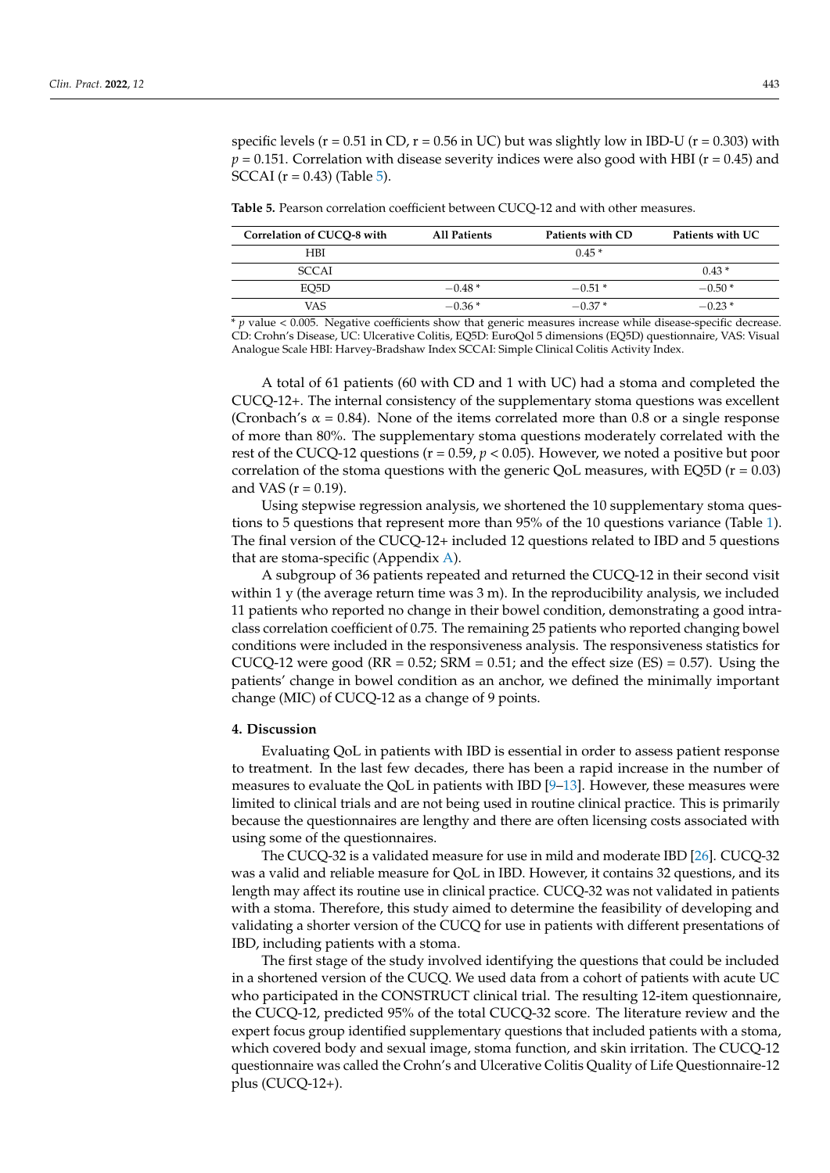specific levels ( $r = 0.51$  in CD,  $r = 0.56$  in UC) but was slightly low in IBD-U ( $r = 0.303$ ) with  $p = 0.151$ . Correlation with disease severity indices were also good with HBI ( $r = 0.45$ ) and SCCAI ( $r = 0.43$ ) (Table [5\)](#page-7-0).

<span id="page-7-0"></span>**Table 5.** Pearson correlation coefficient between CUCQ-12 and with other measures.

| Correlation of CUCO-8 with | <b>All Patients</b> | Patients with CD | Patients with UC |
|----------------------------|---------------------|------------------|------------------|
| <b>HBI</b>                 |                     | $0.45*$          |                  |
| <b>SCCAL</b>               |                     |                  | $0.43*$          |
| EO5D                       | $-0.48*$            | $-0.51*$         | $-0.50*$         |
| VAS                        | $-0.36*$            | $-0.37*$         | $-0.23*$         |

\* *p* value < 0.005. Negative coefficients show that generic measures increase while disease-specific decrease. CD: Crohn's Disease, UC: Ulcerative Colitis, EQ5D: EuroQol 5 dimensions (EQ5D) questionnaire, VAS: Visual Analogue Scale HBI: Harvey-Bradshaw Index SCCAI: Simple Clinical Colitis Activity Index.

A total of 61 patients (60 with CD and 1 with UC) had a stoma and completed the CUCQ-12+. The internal consistency of the supplementary stoma questions was excellent (Cronbach's  $\alpha$  = 0.84). None of the items correlated more than 0.8 or a single response of more than 80%. The supplementary stoma questions moderately correlated with the rest of the CUCQ-12 questions (r = 0.59, *p* < 0.05). However, we noted a positive but poor correlation of the stoma questions with the generic QoL measures, with EQ5D ( $r = 0.03$ ) and VAS ( $r = 0.19$ ).

Using stepwise regression analysis, we shortened the 10 supplementary stoma questions to 5 questions that represent more than 95% of the 10 questions variance (Table [1\)](#page-4-0). The final version of the CUCQ-12+ included 12 questions related to IBD and 5 questions that are stoma-specific (Appendix [A\)](#page-9-0).

A subgroup of 36 patients repeated and returned the CUCQ-12 in their second visit within 1 y (the average return time was  $3 \text{ m}$ ). In the reproducibility analysis, we included 11 patients who reported no change in their bowel condition, demonstrating a good intraclass correlation coefficient of 0.75. The remaining 25 patients who reported changing bowel conditions were included in the responsiveness analysis. The responsiveness statistics for CUCQ-12 were good ( $RR = 0.52$ ;  $SRM = 0.51$ ; and the effect size ( $ES$ ) = 0.57). Using the patients' change in bowel condition as an anchor, we defined the minimally important change (MIC) of CUCQ-12 as a change of 9 points.

## **4. Discussion**

Evaluating QoL in patients with IBD is essential in order to assess patient response to treatment. In the last few decades, there has been a rapid increase in the number of measures to evaluate the QoL in patients with IBD  $[9-13]$  $[9-13]$ . However, these measures were limited to clinical trials and are not being used in routine clinical practice. This is primarily because the questionnaires are lengthy and there are often licensing costs associated with using some of the questionnaires.

The CUCQ-32 is a validated measure for use in mild and moderate IBD [\[26\]](#page-11-7). CUCQ-32 was a valid and reliable measure for QoL in IBD. However, it contains 32 questions, and its length may affect its routine use in clinical practice. CUCQ-32 was not validated in patients with a stoma. Therefore, this study aimed to determine the feasibility of developing and validating a shorter version of the CUCQ for use in patients with different presentations of IBD, including patients with a stoma.

The first stage of the study involved identifying the questions that could be included in a shortened version of the CUCQ. We used data from a cohort of patients with acute UC who participated in the CONSTRUCT clinical trial. The resulting 12-item questionnaire, the CUCQ-12, predicted 95% of the total CUCQ-32 score. The literature review and the expert focus group identified supplementary questions that included patients with a stoma, which covered body and sexual image, stoma function, and skin irritation. The CUCQ-12 questionnaire was called the Crohn's and Ulcerative Colitis Quality of Life Questionnaire-12 plus (CUCQ-12+).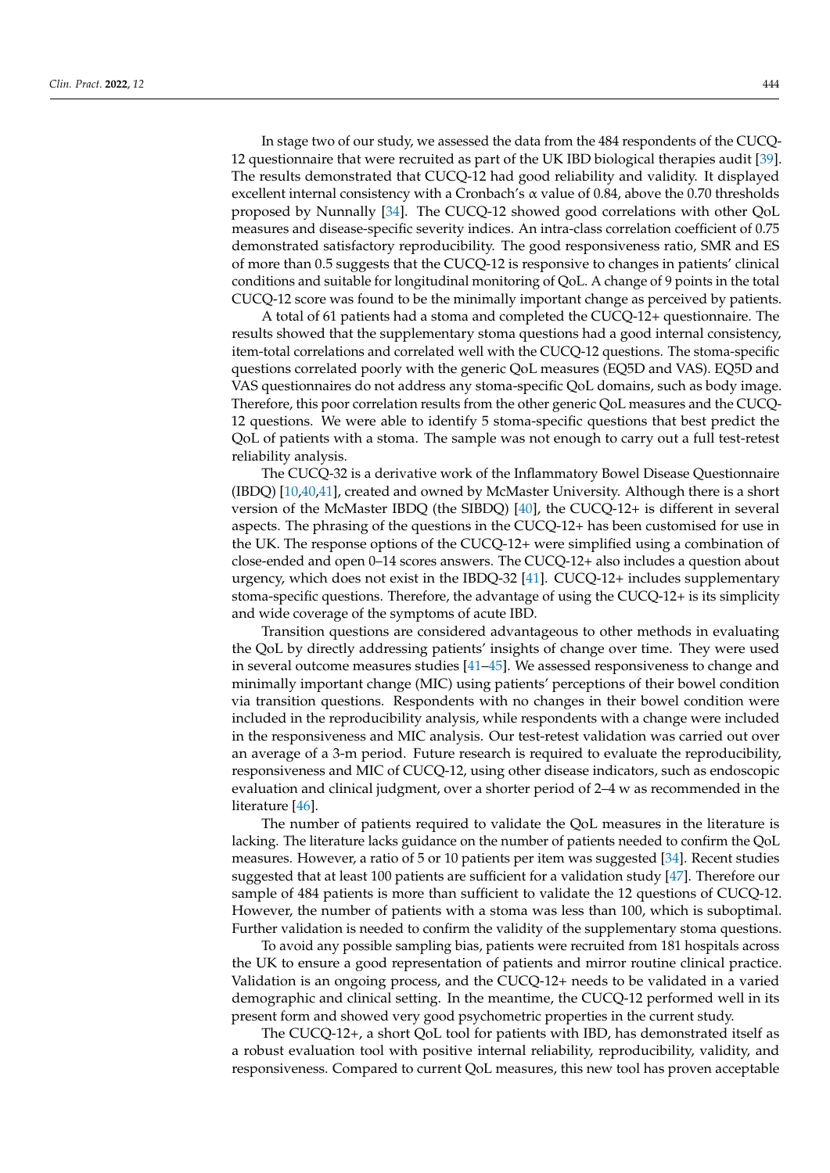In stage two of our study, we assessed the data from the 484 respondents of the CUCQ-12 questionnaire that were recruited as part of the UK IBD biological therapies audit [\[39\]](#page-11-21). The results demonstrated that CUCQ-12 had good reliability and validity. It displayed excellent internal consistency with a Cronbach's  $\alpha$  value of 0.84, above the 0.70 thresholds proposed by Nunnally [\[34\]](#page-11-15). The CUCQ-12 showed good correlations with other QoL measures and disease-specific severity indices. An intra-class correlation coefficient of 0.75 demonstrated satisfactory reproducibility. The good responsiveness ratio, SMR and ES of more than 0.5 suggests that the CUCQ-12 is responsive to changes in patients' clinical conditions and suitable for longitudinal monitoring of QoL. A change of 9 points in the total CUCQ-12 score was found to be the minimally important change as perceived by patients.

A total of 61 patients had a stoma and completed the CUCQ-12+ questionnaire. The results showed that the supplementary stoma questions had a good internal consistency, item-total correlations and correlated well with the CUCQ-12 questions. The stoma-specific questions correlated poorly with the generic QoL measures (EQ5D and VAS). EQ5D and VAS questionnaires do not address any stoma-specific QoL domains, such as body image. Therefore, this poor correlation results from the other generic QoL measures and the CUCQ-12 questions. We were able to identify 5 stoma-specific questions that best predict the QoL of patients with a stoma. The sample was not enough to carry out a full test-retest reliability analysis.

The CUCQ-32 is a derivative work of the Inflammatory Bowel Disease Questionnaire (IBDQ) [\[10](#page-11-22)[,40](#page-11-23)[,41\]](#page-12-0), created and owned by McMaster University. Although there is a short version of the McMaster IBDQ (the SIBDQ) [\[40\]](#page-11-23), the CUCQ-12+ is different in several aspects. The phrasing of the questions in the CUCQ-12+ has been customised for use in the UK. The response options of the CUCQ-12+ were simplified using a combination of close-ended and open 0–14 scores answers. The CUCQ-12+ also includes a question about urgency, which does not exist in the IBDQ-32 [\[41\]](#page-12-0). CUCQ-12+ includes supplementary stoma-specific questions. Therefore, the advantage of using the CUCQ-12+ is its simplicity and wide coverage of the symptoms of acute IBD.

Transition questions are considered advantageous to other methods in evaluating the QoL by directly addressing patients' insights of change over time. They were used in several outcome measures studies [\[41](#page-12-0)[–45\]](#page-12-1). We assessed responsiveness to change and minimally important change (MIC) using patients' perceptions of their bowel condition via transition questions. Respondents with no changes in their bowel condition were included in the reproducibility analysis, while respondents with a change were included in the responsiveness and MIC analysis. Our test-retest validation was carried out over an average of a 3-m period. Future research is required to evaluate the reproducibility, responsiveness and MIC of CUCQ-12, using other disease indicators, such as endoscopic evaluation and clinical judgment, over a shorter period of 2–4 w as recommended in the literature [\[46\]](#page-12-2).

The number of patients required to validate the QoL measures in the literature is lacking. The literature lacks guidance on the number of patients needed to confirm the QoL measures. However, a ratio of 5 or 10 patients per item was suggested [\[34\]](#page-11-15). Recent studies suggested that at least 100 patients are sufficient for a validation study [\[47\]](#page-12-3). Therefore our sample of 484 patients is more than sufficient to validate the 12 questions of CUCQ-12. However, the number of patients with a stoma was less than 100, which is suboptimal. Further validation is needed to confirm the validity of the supplementary stoma questions.

To avoid any possible sampling bias, patients were recruited from 181 hospitals across the UK to ensure a good representation of patients and mirror routine clinical practice. Validation is an ongoing process, and the CUCQ-12+ needs to be validated in a varied demographic and clinical setting. In the meantime, the CUCQ-12 performed well in its present form and showed very good psychometric properties in the current study.

The CUCQ-12+, a short QoL tool for patients with IBD, has demonstrated itself as a robust evaluation tool with positive internal reliability, reproducibility, validity, and responsiveness. Compared to current QoL measures, this new tool has proven acceptable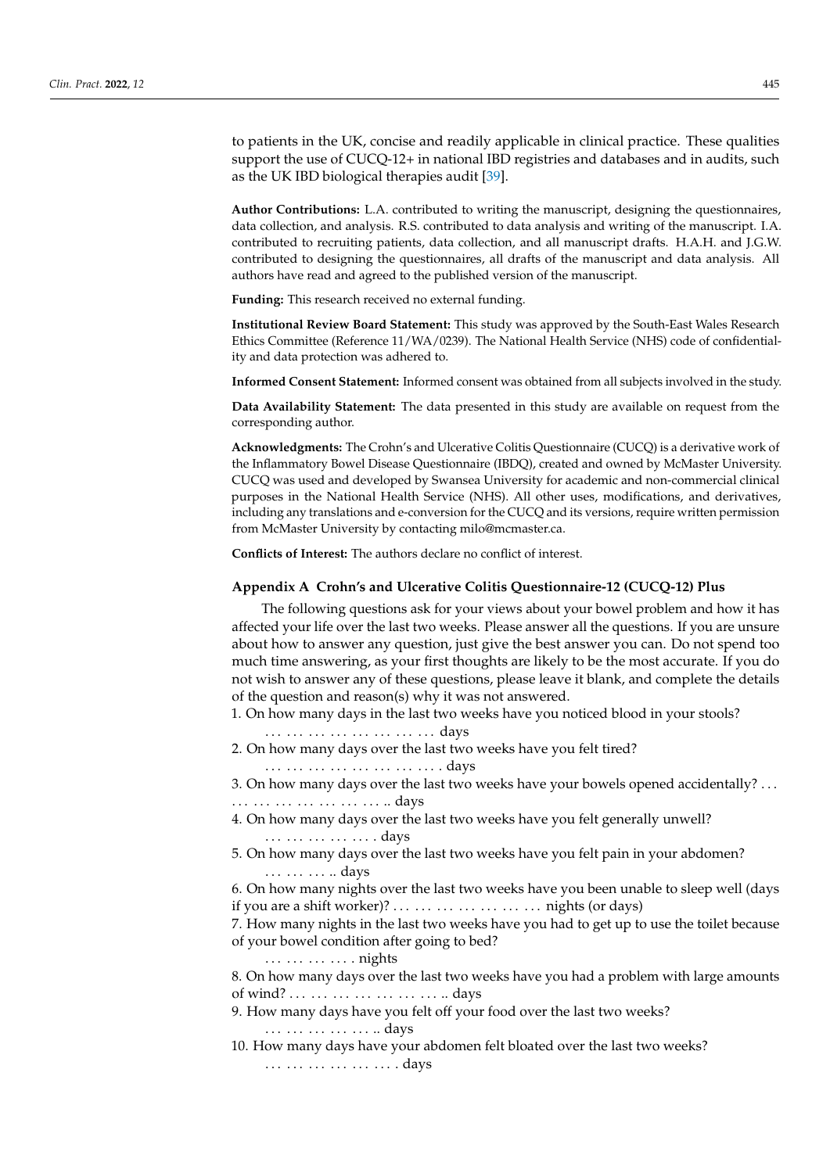to patients in the UK, concise and readily applicable in clinical practice. These qualities support the use of CUCQ-12+ in national IBD registries and databases and in audits, such as the UK IBD biological therapies audit [\[39\]](#page-11-21).

**Author Contributions:** L.A. contributed to writing the manuscript, designing the questionnaires, data collection, and analysis. R.S. contributed to data analysis and writing of the manuscript. I.A. contributed to recruiting patients, data collection, and all manuscript drafts. H.A.H. and J.G.W. contributed to designing the questionnaires, all drafts of the manuscript and data analysis. All authors have read and agreed to the published version of the manuscript.

**Funding:** This research received no external funding.

**Institutional Review Board Statement:** This study was approved by the South-East Wales Research Ethics Committee (Reference 11/WA/0239). The National Health Service (NHS) code of confidentiality and data protection was adhered to.

**Informed Consent Statement:** Informed consent was obtained from all subjects involved in the study.

**Data Availability Statement:** The data presented in this study are available on request from the corresponding author.

**Acknowledgments:** The Crohn's and Ulcerative Colitis Questionnaire (CUCQ) is a derivative work of the Inflammatory Bowel Disease Questionnaire (IBDQ), created and owned by McMaster University. CUCQ was used and developed by Swansea University for academic and non-commercial clinical purposes in the National Health Service (NHS). All other uses, modifications, and derivatives, including any translations and e-conversion for the CUCQ and its versions, require written permission from McMaster University by contacting milo@mcmaster.ca.

**Conflicts of Interest:** The authors declare no conflict of interest.

## <span id="page-9-0"></span>**Appendix A Crohn's and Ulcerative Colitis Questionnaire-12 (CUCQ-12) Plus**

The following questions ask for your views about your bowel problem and how it has affected your life over the last two weeks. Please answer all the questions. If you are unsure about how to answer any question, just give the best answer you can. Do not spend too much time answering, as your first thoughts are likely to be the most accurate. If you do not wish to answer any of these questions, please leave it blank, and complete the details of the question and reason(s) why it was not answered.

1. On how many days in the last two weeks have you noticed blood in your stools?

. . . . . . . . . . . . . . . . . . . . . . . . days 2. On how many days over the last two weeks have you felt tired?

. . . . . . . . . . . . . . . . . . . . . . . . . days

3. On how many days over the last two weeks have your bowels opened accidentally? . . .

. . . . . . . . . . . . . . . . . . . . . .. days

4. On how many days over the last two weeks have you felt generally unwell? . . . . . . . . . . . . . . . . days

5. On how many days over the last two weeks have you felt pain in your abdomen? . . . . . . . . . . . days

6. On how many nights over the last two weeks have you been unable to sleep well (days if you are a shift worker)? . . . . . . . . . . . . . . . . . . . . . nights (or days)

7. How many nights in the last two weeks have you had to get up to use the toilet because of your bowel condition after going to bed?

. . . . . . . . . . . . . nights

. . . . . . . . . . . . . . . . . days

8. On how many days over the last two weeks have you had a problem with large amounts of wind? . . . . . . . . . . . . . . . . . . . . . .. days

9. How many days have you felt off your food over the last two weeks?

10. How many days have your abdomen felt bloated over the last two weeks? . . . . . . . . . . . . . . . . . . . days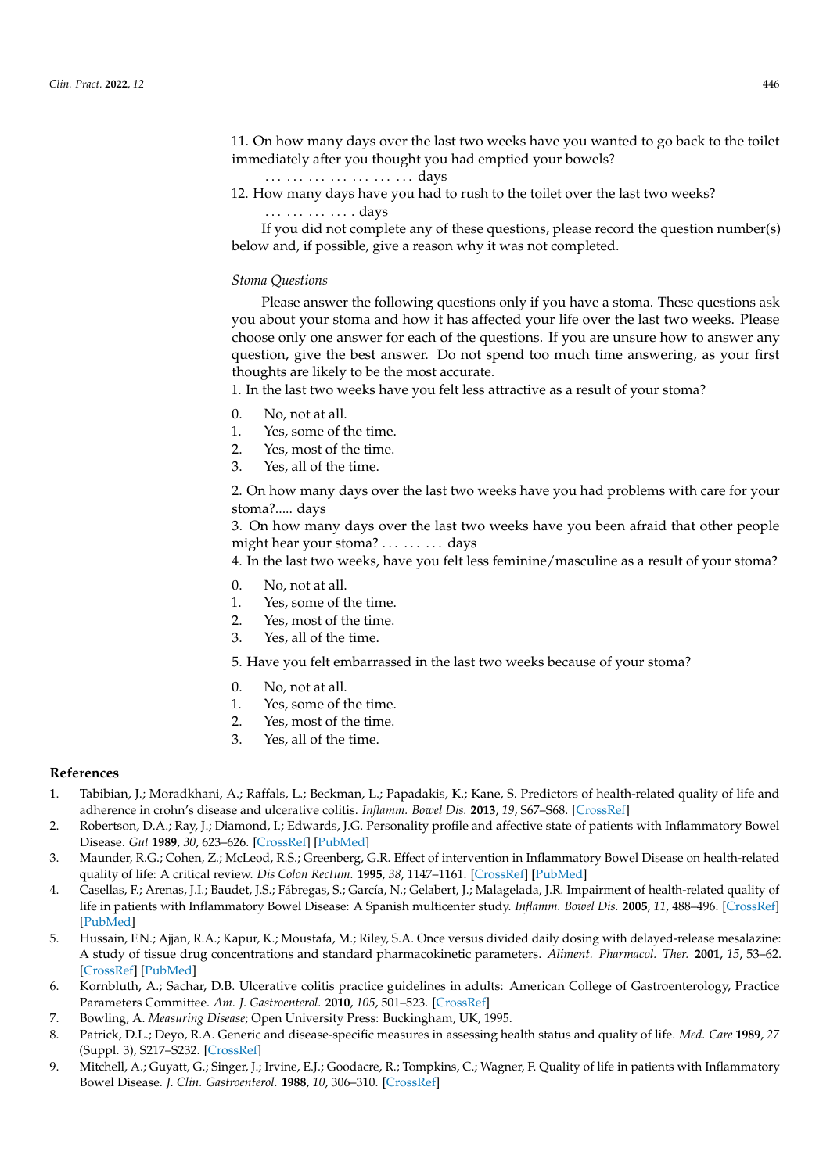11. On how many days over the last two weeks have you wanted to go back to the toilet immediately after you thought you had emptied your bowels?

- . . . . . . . . . . . . . . . . . . . . . days
- 12. How many days have you had to rush to the toilet over the last two weeks?

. . . . . . . . . . . . . . days

If you did not complete any of these questions, please record the question number(s) below and, if possible, give a reason why it was not completed.

## *Stoma Questions*

Please answer the following questions only if you have a stoma. These questions ask you about your stoma and how it has affected your life over the last two weeks. Please choose only one answer for each of the questions. If you are unsure how to answer any question, give the best answer. Do not spend too much time answering, as your first thoughts are likely to be the most accurate.

1. In the last two weeks have you felt less attractive as a result of your stoma?

- 0. No, not at all.
- 1. Yes, some of the time.
- 2. Yes, most of the time.
- 3. Yes, all of the time.

2. On how many days over the last two weeks have you had problems with care for your stoma?..... days

3. On how many days over the last two weeks have you been afraid that other people might hear your stoma? ... ... ... days

4. In the last two weeks, have you felt less feminine/masculine as a result of your stoma?

- 0. No, not at all.
- 1. Yes, some of the time.
- 2. Yes, most of the time.
- 3. Yes, all of the time.

5. Have you felt embarrassed in the last two weeks because of your stoma?

- 0. No, not at all.
- 1. Yes, some of the time.
- 2. Yes, most of the time.
- 3. Yes, all of the time.

## **References**

- <span id="page-10-0"></span>1. Tabibian, J.; Moradkhani, A.; Raffals, L.; Beckman, L.; Papadakis, K.; Kane, S. Predictors of health-related quality of life and adherence in crohn's disease and ulcerative colitis. *Inflamm. Bowel Dis.* **2013**, *19*, S67–S68. [\[CrossRef\]](http://doi.org/10.1097/01.MIB.0000438787.37379.61)
- 2. Robertson, D.A.; Ray, J.; Diamond, I.; Edwards, J.G. Personality profile and affective state of patients with Inflammatory Bowel Disease. *Gut* **1989**, *30*, 623–626. [\[CrossRef\]](http://doi.org/10.1136/gut.30.5.623) [\[PubMed\]](http://www.ncbi.nlm.nih.gov/pubmed/2731754)
- <span id="page-10-1"></span>3. Maunder, R.G.; Cohen, Z.; McLeod, R.S.; Greenberg, G.R. Effect of intervention in Inflammatory Bowel Disease on health-related quality of life: A critical review. *Dis Colon Rectum.* **1995**, *38*, 1147–1161. [\[CrossRef\]](http://doi.org/10.1007/BF02048330) [\[PubMed\]](http://www.ncbi.nlm.nih.gov/pubmed/7587757)
- <span id="page-10-2"></span>4. Casellas, F.; Arenas, J.I.; Baudet, J.S.; Fábregas, S.; García, N.; Gelabert, J.; Malagelada, J.R. Impairment of health-related quality of life in patients with Inflammatory Bowel Disease: A Spanish multicenter study. *Inflamm. Bowel Dis.* **2005**, *11*, 488–496. [\[CrossRef\]](http://doi.org/10.1097/01.MIB.0000159661.55028.56) [\[PubMed\]](http://www.ncbi.nlm.nih.gov/pubmed/15867589)
- 5. Hussain, F.N.; Ajjan, R.A.; Kapur, K.; Moustafa, M.; Riley, S.A. Once versus divided daily dosing with delayed-release mesalazine: A study of tissue drug concentrations and standard pharmacokinetic parameters. *Aliment. Pharmacol. Ther.* **2001**, *15*, 53–62. [\[CrossRef\]](http://doi.org/10.1046/j.1365-2036.2001.00891.x) [\[PubMed\]](http://www.ncbi.nlm.nih.gov/pubmed/11136278)
- <span id="page-10-3"></span>6. Kornbluth, A.; Sachar, D.B. Ulcerative colitis practice guidelines in adults: American College of Gastroenterology, Practice Parameters Committee. *Am. J. Gastroenterol.* **2010**, *105*, 501–523. [\[CrossRef\]](http://doi.org/10.1038/ajg.2009.727)
- <span id="page-10-4"></span>7. Bowling, A. *Measuring Disease*; Open University Press: Buckingham, UK, 1995.
- <span id="page-10-5"></span>8. Patrick, D.L.; Deyo, R.A. Generic and disease-specific measures in assessing health status and quality of life. *Med. Care* **1989**, *27* (Suppl. 3), S217–S232. [\[CrossRef\]](http://doi.org/10.1097/00005650-198903001-00018)
- <span id="page-10-6"></span>9. Mitchell, A.; Guyatt, G.; Singer, J.; Irvine, E.J.; Goodacre, R.; Tompkins, C.; Wagner, F. Quality of life in patients with Inflammatory Bowel Disease. *J. Clin. Gastroenterol.* **1988**, *10*, 306–310. [\[CrossRef\]](http://doi.org/10.1097/00004836-198806000-00014)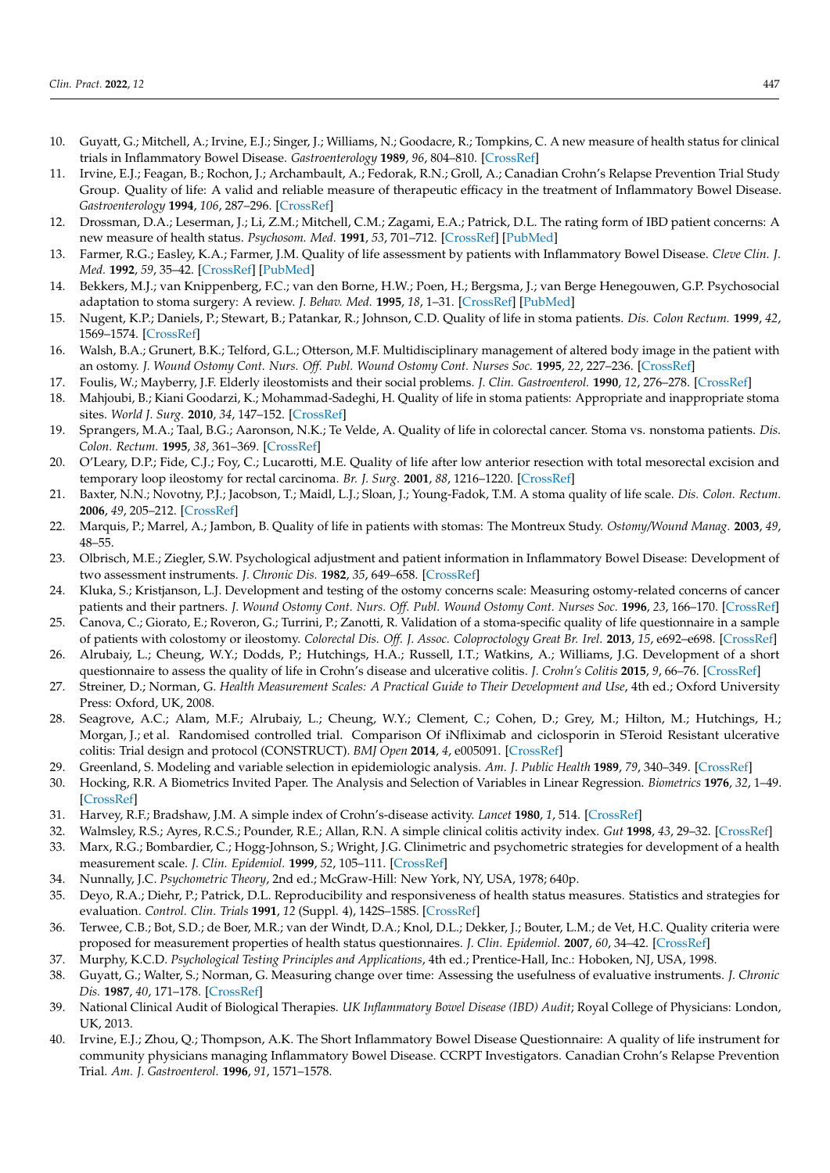- <span id="page-11-22"></span>10. Guyatt, G.; Mitchell, A.; Irvine, E.J.; Singer, J.; Williams, N.; Goodacre, R.; Tompkins, C. A new measure of health status for clinical trials in Inflammatory Bowel Disease. *Gastroenterology* **1989**, *96*, 804–810. [\[CrossRef\]](http://doi.org/10.1016/S0016-5085(89)80080-0)
- 11. Irvine, E.J.; Feagan, B.; Rochon, J.; Archambault, A.; Fedorak, R.N.; Groll, A.; Canadian Crohn's Relapse Prevention Trial Study Group. Quality of life: A valid and reliable measure of therapeutic efficacy in the treatment of Inflammatory Bowel Disease. *Gastroenterology* **1994**, *106*, 287–296. [\[CrossRef\]](http://doi.org/10.1016/0016-5085(94)90585-1)
- 12. Drossman, D.A.; Leserman, J.; Li, Z.M.; Mitchell, C.M.; Zagami, E.A.; Patrick, D.L. The rating form of IBD patient concerns: A new measure of health status. *Psychosom. Med.* **1991**, *53*, 701–712. [\[CrossRef\]](http://doi.org/10.1097/00006842-199111000-00010) [\[PubMed\]](http://www.ncbi.nlm.nih.gov/pubmed/1758953)
- <span id="page-11-0"></span>13. Farmer, R.G.; Easley, K.A.; Farmer, J.M. Quality of life assessment by patients with Inflammatory Bowel Disease. *Cleve Clin. J. Med.* **1992**, *59*, 35–42. [\[CrossRef\]](http://doi.org/10.3949/ccjm.59.1.35) [\[PubMed\]](http://www.ncbi.nlm.nih.gov/pubmed/1551212)
- <span id="page-11-1"></span>14. Bekkers, M.J.; van Knippenberg, F.C.; van den Borne, H.W.; Poen, H.; Bergsma, J.; van Berge Henegouwen, G.P. Psychosocial adaptation to stoma surgery: A review. *J. Behav. Med.* **1995**, *18*, 1–31. [\[CrossRef\]](http://doi.org/10.1007/BF01857702) [\[PubMed\]](http://www.ncbi.nlm.nih.gov/pubmed/7595949)
- 15. Nugent, K.P.; Daniels, P.; Stewart, B.; Patankar, R.; Johnson, C.D. Quality of life in stoma patients. *Dis. Colon Rectum.* **1999**, *42*, 1569–1574. [\[CrossRef\]](http://doi.org/10.1007/BF02236209)
- 16. Walsh, B.A.; Grunert, B.K.; Telford, G.L.; Otterson, M.F. Multidisciplinary management of altered body image in the patient with an ostomy. *J. Wound Ostomy Cont. Nurs. Off. Publ. Wound Ostomy Cont. Nurses Soc.* **1995**, *22*, 227–236. [\[CrossRef\]](http://doi.org/10.1097/00152192-199509000-00010)
- <span id="page-11-20"></span>17. Foulis, W.; Mayberry, J.F. Elderly ileostomists and their social problems. *J. Clin. Gastroenterol.* **1990**, *12*, 276–278. [\[CrossRef\]](http://doi.org/10.1097/00004836-199006000-00008)
- <span id="page-11-2"></span>18. Mahjoubi, B.; Kiani Goodarzi, K.; Mohammad-Sadeghi, H. Quality of life in stoma patients: Appropriate and inappropriate stoma sites. *World J. Surg.* **2010**, *34*, 147–152. [\[CrossRef\]](http://doi.org/10.1007/s00268-009-0275-0)
- <span id="page-11-3"></span>19. Sprangers, M.A.; Taal, B.G.; Aaronson, N.K.; Te Velde, A. Quality of life in colorectal cancer. Stoma vs. nonstoma patients. *Dis. Colon. Rectum.* **1995**, *38*, 361–369. [\[CrossRef\]](http://doi.org/10.1007/BF02054222)
- <span id="page-11-4"></span>20. O'Leary, D.P.; Fide, C.J.; Foy, C.; Lucarotti, M.E. Quality of life after low anterior resection with total mesorectal excision and temporary loop ileostomy for rectal carcinoma. *Br. J. Surg.* **2001**, *88*, 1216–1220. [\[CrossRef\]](http://doi.org/10.1046/j.0007-1323.2001.01862.x)
- <span id="page-11-5"></span>21. Baxter, N.N.; Novotny, P.J.; Jacobson, T.; Maidl, L.J.; Sloan, J.; Young-Fadok, T.M. A stoma quality of life scale. *Dis. Colon. Rectum.* **2006**, *49*, 205–212. [\[CrossRef\]](http://doi.org/10.1007/s10350-005-0275-6)
- 22. Marquis, P.; Marrel, A.; Jambon, B. Quality of life in patients with stomas: The Montreux Study. *Ostomy/Wound Manag.* **2003**, *49*, 48–55.
- 23. Olbrisch, M.E.; Ziegler, S.W. Psychological adjustment and patient information in Inflammatory Bowel Disease: Development of two assessment instruments. *J. Chronic Dis.* **1982**, *35*, 649–658. [\[CrossRef\]](http://doi.org/10.1016/0021-9681(82)90017-0)
- 24. Kluka, S.; Kristjanson, L.J. Development and testing of the ostomy concerns scale: Measuring ostomy-related concerns of cancer patients and their partners. *J. Wound Ostomy Cont. Nurs. Off. Publ. Wound Ostomy Cont. Nurses Soc.* **1996**, *23*, 166–170. [\[CrossRef\]](http://doi.org/10.1097/00152192-199605000-00011)
- <span id="page-11-6"></span>25. Canova, C.; Giorato, E.; Roveron, G.; Turrini, P.; Zanotti, R. Validation of a stoma-specific quality of life questionnaire in a sample of patients with colostomy or ileostomy. *Colorectal Dis. Off. J. Assoc. Coloproctology Great Br. Irel.* **2013**, *15*, e692–e698. [\[CrossRef\]](http://doi.org/10.1111/codi.12324)
- <span id="page-11-7"></span>26. Alrubaiy, L.; Cheung, W.Y.; Dodds, P.; Hutchings, H.A.; Russell, I.T.; Watkins, A.; Williams, J.G. Development of a short questionnaire to assess the quality of life in Crohn's disease and ulcerative colitis. *J. Crohn's Colitis* **2015**, *9*, 66–76. [\[CrossRef\]](http://doi.org/10.1093/ecco-jcc/jju005)
- <span id="page-11-8"></span>27. Streiner, D.; Norman, G. Health Measurement Scales: A Practical Guide to Their Development and Use, 4th ed.; Oxford University Press: Oxford, UK, 2008.
- <span id="page-11-9"></span>28. Seagrove, A.C.; Alam, M.F.; Alrubaiy, L.; Cheung, W.Y.; Clement, C.; Cohen, D.; Grey, M.; Hilton, M.; Hutchings, H.; Morgan, J.; et al. Randomised controlled trial. Comparison Of iNfliximab and ciclosporin in STeroid Resistant ulcerative colitis: Trial design and protocol (CONSTRUCT). *BMJ Open* **2014**, *4*, e005091. [\[CrossRef\]](http://doi.org/10.1136/bmjopen-2014-005091)
- <span id="page-11-10"></span>29. Greenland, S. Modeling and variable selection in epidemiologic analysis. *Am. J. Public Health* **1989**, *79*, 340–349. [\[CrossRef\]](http://doi.org/10.2105/AJPH.79.3.340)
- <span id="page-11-11"></span>30. Hocking, R.R. A Biometrics Invited Paper. The Analysis and Selection of Variables in Linear Regression. *Biometrics* **1976**, *32*, 1–49. [\[CrossRef\]](http://doi.org/10.2307/2529336)
- <span id="page-11-12"></span>31. Harvey, R.F.; Bradshaw, J.M. A simple index of Crohn's-disease activity. *Lancet* **1980**, *1*, 514. [\[CrossRef\]](http://doi.org/10.1016/S0140-6736(80)92767-1)
- <span id="page-11-13"></span>32. Walmsley, R.S.; Ayres, R.C.S.; Pounder, R.E.; Allan, R.N. A simple clinical colitis activity index. *Gut* **1998**, *43*, 29–32. [\[CrossRef\]](http://doi.org/10.1136/gut.43.1.29)
- <span id="page-11-14"></span>33. Marx, R.G.; Bombardier, C.; Hogg-Johnson, S.; Wright, J.G. Clinimetric and psychometric strategies for development of a health measurement scale. *J. Clin. Epidemiol.* **1999**, *52*, 105–111. [\[CrossRef\]](http://doi.org/10.1016/S0895-4356(98)00148-6)
- <span id="page-11-15"></span>34. Nunnally, J.C. *Psychometric Theory*, 2nd ed.; McGraw-Hill: New York, NY, USA, 1978; 640p.
- <span id="page-11-16"></span>35. Deyo, R.A.; Diehr, P.; Patrick, D.L. Reproducibility and responsiveness of health status measures. Statistics and strategies for evaluation. *Control. Clin. Trials* **1991**, *12* (Suppl. 4), 142S–158S. [\[CrossRef\]](http://doi.org/10.1016/S0197-2456(05)80019-4)
- <span id="page-11-17"></span>36. Terwee, C.B.; Bot, S.D.; de Boer, M.R.; van der Windt, D.A.; Knol, D.L.; Dekker, J.; Bouter, L.M.; de Vet, H.C. Quality criteria were proposed for measurement properties of health status questionnaires. *J. Clin. Epidemiol.* **2007**, *60*, 34–42. [\[CrossRef\]](http://doi.org/10.1016/j.jclinepi.2006.03.012)
- <span id="page-11-18"></span>37. Murphy, K.C.D. *Psychological Testing Principles and Applications*, 4th ed.; Prentice-Hall, Inc.: Hoboken, NJ, USA, 1998.
- <span id="page-11-19"></span>38. Guyatt, G.; Walter, S.; Norman, G. Measuring change over time: Assessing the usefulness of evaluative instruments. *J. Chronic Dis.* **1987**, *40*, 171–178. [\[CrossRef\]](http://doi.org/10.1016/0021-9681(87)90069-5)
- <span id="page-11-21"></span>39. National Clinical Audit of Biological Therapies. *UK Inflammatory Bowel Disease (IBD) Audit*; Royal College of Physicians: London, UK, 2013.
- <span id="page-11-23"></span>40. Irvine, E.J.; Zhou, Q.; Thompson, A.K. The Short Inflammatory Bowel Disease Questionnaire: A quality of life instrument for community physicians managing Inflammatory Bowel Disease. CCRPT Investigators. Canadian Crohn's Relapse Prevention Trial. *Am. J. Gastroenterol.* **1996**, *91*, 1571–1578.